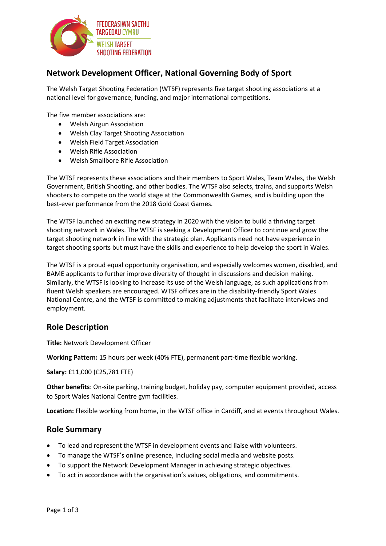

## **Network Development Officer, National Governing Body of Sport**

The Welsh Target Shooting Federation (WTSF) represents five target shooting associations at a national level for governance, funding, and major international competitions.

The five member associations are:

- Welsh Airgun Association
- Welsh Clay Target Shooting Association
- Welsh Field Target Association
- Welsh Rifle Association
- Welsh Smallbore Rifle Association

The WTSF represents these associations and their members to Sport Wales, Team Wales, the Welsh Government, British Shooting, and other bodies. The WTSF also selects, trains, and supports Welsh shooters to compete on the world stage at the Commonwealth Games, and is building upon the best-ever performance from the 2018 Gold Coast Games.

The WTSF launched an exciting new strategy in 2020 with the vision to build a thriving target shooting network in Wales. The WTSF is seeking a Development Officer to continue and grow the target shooting network in line with the strategic plan. Applicants need not have experience in target shooting sports but must have the skills and experience to help develop the sport in Wales.

The WTSF is a proud equal opportunity organisation, and especially welcomes women, disabled, and BAME applicants to further improve diversity of thought in discussions and decision making. Similarly, the WTSF is looking to increase its use of the Welsh language, as such applications from fluent Welsh speakers are encouraged. WTSF offices are in the disability-friendly Sport Wales National Centre, and the WTSF is committed to making adjustments that facilitate interviews and employment.

#### **Role Description**

**Title:** Network Development Officer

**Working Pattern:** 15 hours per week (40% FTE), permanent part-time flexible working.

**Salary:** £11,000 (£25,781 FTE)

**Other benefits**: On-site parking, training budget, holiday pay, computer equipment provided, access to Sport Wales National Centre gym facilities.

**Location:** Flexible working from home, in the WTSF office in Cardiff, and at events throughout Wales.

#### **Role Summary**

- To lead and represent the WTSF in development events and liaise with volunteers.
- To manage the WTSF's online presence, including social media and website posts.
- To support the Network Development Manager in achieving strategic objectives.
- To act in accordance with the organisation's values, obligations, and commitments.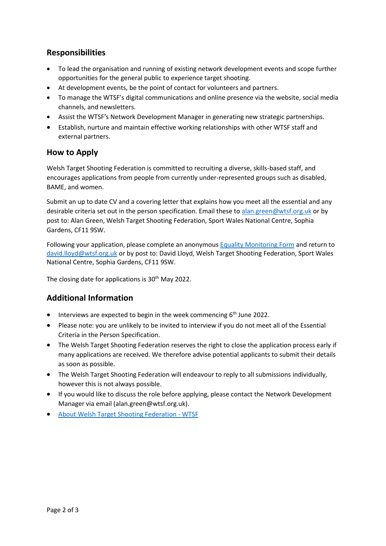### **Responsibilities**

- To lead the organisation and running of existing network development events and scope further opportunities for the general public to experience target shooting.
- At development events, be the point of contact for volunteers and partners.
- To manage the WTSF's digital communications and online presence via the website, social media channels, and newsletters.
- Assist the WTSF's Network Development Manager in generating new strategic partnerships.
- Establish, nurture and maintain effective working relationships with other WTSF staff and external partners.

### **How to Apply**

Welsh Target Shooting Federation is committed to recruiting a diverse, skills-based staff, and encourages applications from people from currently under-represented groups such as disabled, BAME, and women.

Submit an up to date CV and a covering letter that explains how you meet all the essential and any desirable criteria set out in the person specification. Email these to [alan.green@wtsf.org.uk](mailto:alan.green@wtsf.org.uk) or by post to: Alan Green, Welsh Target Shooting Federation, Sport Wales National Centre, Sophia Gardens, CF11 9SW.

Following your application, please complete an anonymou[s Equality Monitoring Form](https://wtsf.org.uk/wp-content/uploads/2022/04/Equality-Monitoring-Form-2022.pdf) and return to [david.lloyd@wtsf.org.uk](mailto:david.lloyd@wtsf.org.uk) or by post to: David Lloyd, Welsh Target Shooting Federation, Sport Wales National Centre, Sophia Gardens, CF11 9SW.

The closing date for applications is 30<sup>th</sup> May 2022.

### **Additional Information**

- $\bullet$  Interviews are expected to begin in the week commencing  $6^{th}$  June 2022.
- Please note: you are unlikely to be invited to interview if you do not meet all of the Essential Criteria in the Person Specification.
- The Welsh Target Shooting Federation reserves the right to close the application process early if many applications are received. We therefore advise potential applicants to submit their details as soon as possible.
- The Welsh Target Shooting Federation will endeavour to reply to all submissions individually, however this is not always possible.
- If you would like to discuss the role before applying, please contact the Network Development Manager via email (alan.green@wtsf.org.uk).
- [About Welsh Target Shooting Federation -](https://wtsf.org.uk/welsh-target-shooting-federation/) WTSF